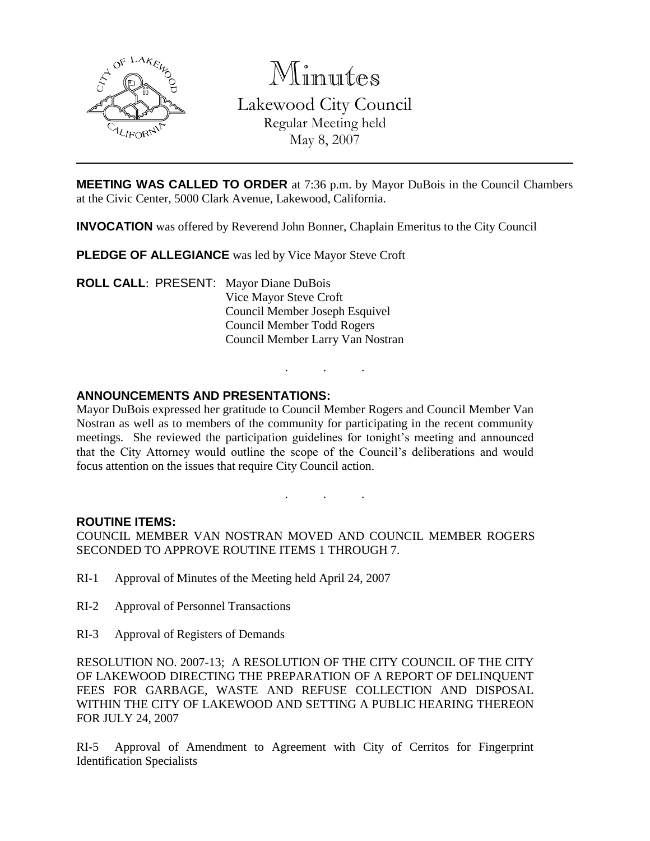

Minutes Lakewood City Council Regular Meeting held

May 8, 2007

**MEETING WAS CALLED TO ORDER** at 7:36 p.m. by Mayor DuBois in the Council Chambers at the Civic Center, 5000 Clark Avenue, Lakewood, California.

**INVOCATION** was offered by Reverend John Bonner, Chaplain Emeritus to the City Council

**PLEDGE OF ALLEGIANCE** was led by Vice Mayor Steve Croft

**ROLL CALL**: PRESENT: Mayor Diane DuBois Vice Mayor Steve Croft Council Member Joseph Esquivel Council Member Todd Rogers Council Member Larry Van Nostran

# **ANNOUNCEMENTS AND PRESENTATIONS:**

Mayor DuBois expressed her gratitude to Council Member Rogers and Council Member Van Nostran as well as to members of the community for participating in the recent community meetings. She reviewed the participation guidelines for tonight's meeting and announced that the City Attorney would outline the scope of the Council's deliberations and would focus attention on the issues that require City Council action.

. . .

. . .

## **ROUTINE ITEMS:**

COUNCIL MEMBER VAN NOSTRAN MOVED AND COUNCIL MEMBER ROGERS SECONDED TO APPROVE ROUTINE ITEMS 1 THROUGH 7.

- RI-1 Approval of Minutes of the Meeting held April 24, 2007
- RI-2 Approval of Personnel Transactions
- RI-3 Approval of Registers of Demands

RESOLUTION NO. 2007-13; A RESOLUTION OF THE CITY COUNCIL OF THE CITY OF LAKEWOOD DIRECTING THE PREPARATION OF A REPORT OF DELINQUENT FEES FOR GARBAGE, WASTE AND REFUSE COLLECTION AND DISPOSAL WITHIN THE CITY OF LAKEWOOD AND SETTING A PUBLIC HEARING THEREON FOR JULY 24, 2007

RI-5 Approval of Amendment to Agreement with City of Cerritos for Fingerprint Identification Specialists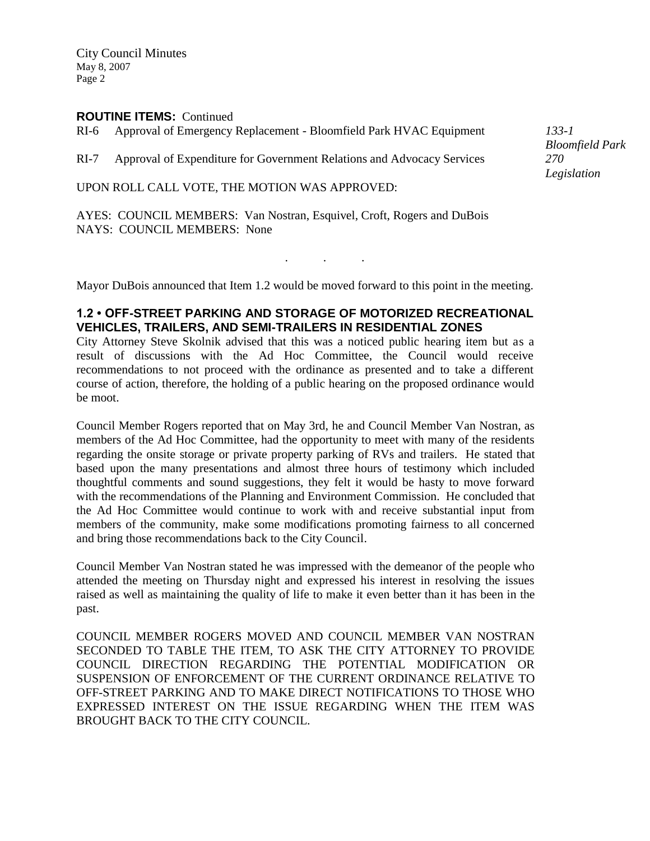## **ROUTINE ITEMS:** Continued

RI-6 Approval of Emergency Replacement - Bloomfield Park HVAC Equipment

RI-7 Approval of Expenditure for Government Relations and Advocacy Services

UPON ROLL CALL VOTE, THE MOTION WAS APPROVED:

AYES: COUNCIL MEMBERS: Van Nostran, Esquivel, Croft, Rogers and DuBois NAYS: COUNCIL MEMBERS: None

Mayor DuBois announced that Item 1.2 would be moved forward to this point in the meeting.

. . .

## **1.2 • OFF-STREET PARKING AND STORAGE OF MOTORIZED RECREATIONAL VEHICLES, TRAILERS, AND SEMI-TRAILERS IN RESIDENTIAL ZONES**

City Attorney Steve Skolnik advised that this was a noticed public hearing item but as a result of discussions with the Ad Hoc Committee, the Council would receive recommendations to not proceed with the ordinance as presented and to take a different course of action, therefore, the holding of a public hearing on the proposed ordinance would be moot.

Council Member Rogers reported that on May 3rd, he and Council Member Van Nostran, as members of the Ad Hoc Committee, had the opportunity to meet with many of the residents regarding the onsite storage or private property parking of RVs and trailers. He stated that based upon the many presentations and almost three hours of testimony which included thoughtful comments and sound suggestions, they felt it would be hasty to move forward with the recommendations of the Planning and Environment Commission. He concluded that the Ad Hoc Committee would continue to work with and receive substantial input from members of the community, make some modifications promoting fairness to all concerned and bring those recommendations back to the City Council.

Council Member Van Nostran stated he was impressed with the demeanor of the people who attended the meeting on Thursday night and expressed his interest in resolving the issues raised as well as maintaining the quality of life to make it even better than it has been in the past.

COUNCIL MEMBER ROGERS MOVED AND COUNCIL MEMBER VAN NOSTRAN SECONDED TO TABLE THE ITEM, TO ASK THE CITY ATTORNEY TO PROVIDE COUNCIL DIRECTION REGARDING THE POTENTIAL MODIFICATION OR SUSPENSION OF ENFORCEMENT OF THE CURRENT ORDINANCE RELATIVE TO OFF-STREET PARKING AND TO MAKE DIRECT NOTIFICATIONS TO THOSE WHO EXPRESSED INTEREST ON THE ISSUE REGARDING WHEN THE ITEM WAS BROUGHT BACK TO THE CITY COUNCIL.

*133-1 Bloomfield Park 270 Legislation*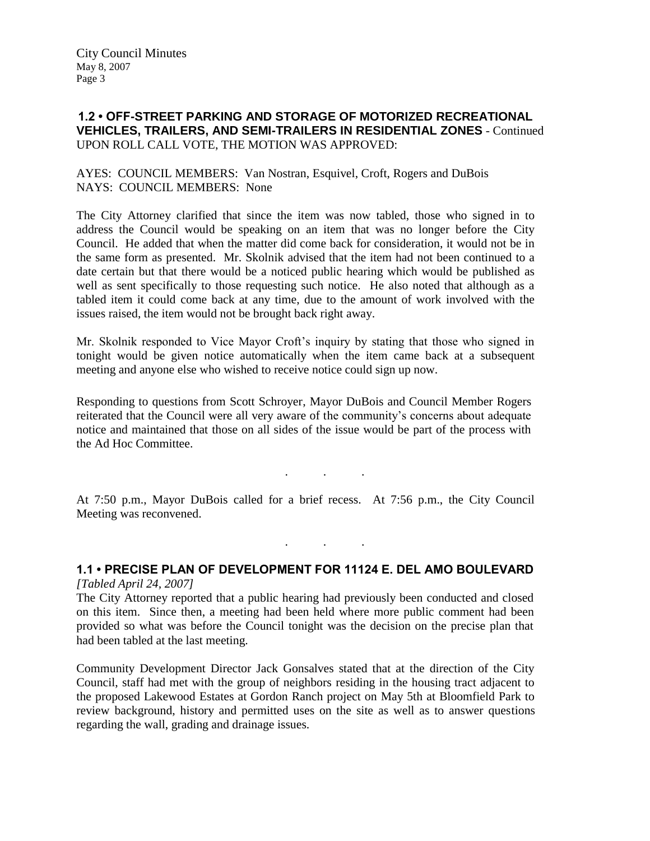# **1.2 • OFF-STREET PARKING AND STORAGE OF MOTORIZED RECREATIONAL VEHICLES, TRAILERS, AND SEMI-TRAILERS IN RESIDENTIAL ZONES** - Continued UPON ROLL CALL VOTE, THE MOTION WAS APPROVED:

## AYES: COUNCIL MEMBERS: Van Nostran, Esquivel, Croft, Rogers and DuBois NAYS: COUNCIL MEMBERS: None

The City Attorney clarified that since the item was now tabled, those who signed in to address the Council would be speaking on an item that was no longer before the City Council. He added that when the matter did come back for consideration, it would not be in the same form as presented. Mr. Skolnik advised that the item had not been continued to a date certain but that there would be a noticed public hearing which would be published as well as sent specifically to those requesting such notice. He also noted that although as a tabled item it could come back at any time, due to the amount of work involved with the issues raised, the item would not be brought back right away.

Mr. Skolnik responded to Vice Mayor Croft's inquiry by stating that those who signed in tonight would be given notice automatically when the item came back at a subsequent meeting and anyone else who wished to receive notice could sign up now.

Responding to questions from Scott Schroyer, Mayor DuBois and Council Member Rogers reiterated that the Council were all very aware of the community's concerns about adequate notice and maintained that those on all sides of the issue would be part of the process with the Ad Hoc Committee.

At 7:50 p.m., Mayor DuBois called for a brief recess. At 7:56 p.m., the City Council Meeting was reconvened.

. . .

#### **1.1 • PRECISE PLAN OF DEVELOPMENT FOR 11124 E. DEL AMO BOULEVARD** *[Tabled April 24, 2007]*

. . .

The City Attorney reported that a public hearing had previously been conducted and closed on this item. Since then, a meeting had been held where more public comment had been provided so what was before the Council tonight was the decision on the precise plan that had been tabled at the last meeting.

Community Development Director Jack Gonsalves stated that at the direction of the City Council, staff had met with the group of neighbors residing in the housing tract adjacent to the proposed Lakewood Estates at Gordon Ranch project on May 5th at Bloomfield Park to review background, history and permitted uses on the site as well as to answer questions regarding the wall, grading and drainage issues.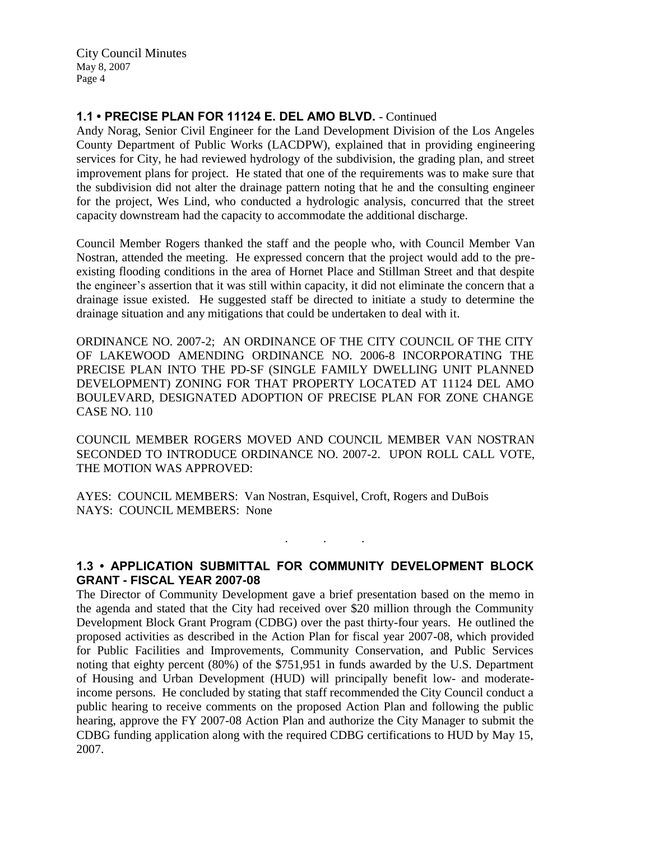# **1.1 • PRECISE PLAN FOR 11124 E. DEL AMO BLVD.** - Continued

Andy Norag, Senior Civil Engineer for the Land Development Division of the Los Angeles County Department of Public Works (LACDPW), explained that in providing engineering services for City, he had reviewed hydrology of the subdivision, the grading plan, and street improvement plans for project. He stated that one of the requirements was to make sure that the subdivision did not alter the drainage pattern noting that he and the consulting engineer for the project, Wes Lind, who conducted a hydrologic analysis, concurred that the street capacity downstream had the capacity to accommodate the additional discharge.

Council Member Rogers thanked the staff and the people who, with Council Member Van Nostran, attended the meeting. He expressed concern that the project would add to the preexisting flooding conditions in the area of Hornet Place and Stillman Street and that despite the engineer's assertion that it was still within capacity, it did not eliminate the concern that a drainage issue existed. He suggested staff be directed to initiate a study to determine the drainage situation and any mitigations that could be undertaken to deal with it.

ORDINANCE NO. 2007-2; AN ORDINANCE OF THE CITY COUNCIL OF THE CITY OF LAKEWOOD AMENDING ORDINANCE NO. 2006-8 INCORPORATING THE PRECISE PLAN INTO THE PD-SF (SINGLE FAMILY DWELLING UNIT PLANNED DEVELOPMENT) ZONING FOR THAT PROPERTY LOCATED AT 11124 DEL AMO BOULEVARD, DESIGNATED ADOPTION OF PRECISE PLAN FOR ZONE CHANGE CASE NO. 110

COUNCIL MEMBER ROGERS MOVED AND COUNCIL MEMBER VAN NOSTRAN SECONDED TO INTRODUCE ORDINANCE NO. 2007-2. UPON ROLL CALL VOTE, THE MOTION WAS APPROVED:

AYES: COUNCIL MEMBERS: Van Nostran, Esquivel, Croft, Rogers and DuBois NAYS: COUNCIL MEMBERS: None

**1.3 • APPLICATION SUBMITTAL FOR COMMUNITY DEVELOPMENT BLOCK GRANT - FISCAL YEAR 2007-08**

. . .

The Director of Community Development gave a brief presentation based on the memo in the agenda and stated that the City had received over \$20 million through the Community Development Block Grant Program (CDBG) over the past thirty-four years. He outlined the proposed activities as described in the Action Plan for fiscal year 2007-08, which provided for Public Facilities and Improvements, Community Conservation, and Public Services noting that eighty percent (80%) of the \$751,951 in funds awarded by the U.S. Department of Housing and Urban Development (HUD) will principally benefit low- and moderateincome persons. He concluded by stating that staff recommended the City Council conduct a public hearing to receive comments on the proposed Action Plan and following the public hearing, approve the FY 2007-08 Action Plan and authorize the City Manager to submit the CDBG funding application along with the required CDBG certifications to HUD by May 15, 2007.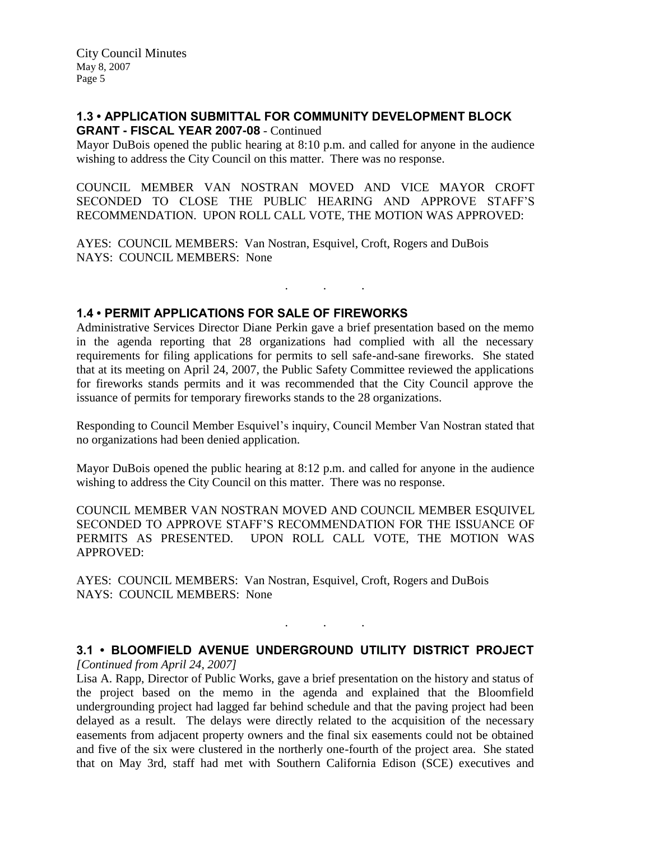## **1.3 • APPLICATION SUBMITTAL FOR COMMUNITY DEVELOPMENT BLOCK GRANT - FISCAL YEAR 2007-08** - Continued

Mayor DuBois opened the public hearing at 8:10 p.m. and called for anyone in the audience wishing to address the City Council on this matter. There was no response.

COUNCIL MEMBER VAN NOSTRAN MOVED AND VICE MAYOR CROFT SECONDED TO CLOSE THE PUBLIC HEARING AND APPROVE STAFF'S RECOMMENDATION. UPON ROLL CALL VOTE, THE MOTION WAS APPROVED:

AYES: COUNCIL MEMBERS: Van Nostran, Esquivel, Croft, Rogers and DuBois NAYS: COUNCIL MEMBERS: None

## **1.4 • PERMIT APPLICATIONS FOR SALE OF FIREWORKS**

Administrative Services Director Diane Perkin gave a brief presentation based on the memo in the agenda reporting that 28 organizations had complied with all the necessary requirements for filing applications for permits to sell safe-and-sane fireworks. She stated that at its meeting on April 24, 2007, the Public Safety Committee reviewed the applications for fireworks stands permits and it was recommended that the City Council approve the issuance of permits for temporary fireworks stands to the 28 organizations.

. . .

Responding to Council Member Esquivel's inquiry, Council Member Van Nostran stated that no organizations had been denied application.

Mayor DuBois opened the public hearing at 8:12 p.m. and called for anyone in the audience wishing to address the City Council on this matter. There was no response.

COUNCIL MEMBER VAN NOSTRAN MOVED AND COUNCIL MEMBER ESQUIVEL SECONDED TO APPROVE STAFF'S RECOMMENDATION FOR THE ISSUANCE OF PERMITS AS PRESENTED. UPON ROLL CALL VOTE, THE MOTION WAS APPROVED:

AYES: COUNCIL MEMBERS: Van Nostran, Esquivel, Croft, Rogers and DuBois NAYS: COUNCIL MEMBERS: None

# **3.1 • BLOOMFIELD AVENUE UNDERGROUND UTILITY DISTRICT PROJECT**

. . .

*[Continued from April 24, 2007]*

Lisa A. Rapp, Director of Public Works, gave a brief presentation on the history and status of the project based on the memo in the agenda and explained that the Bloomfield undergrounding project had lagged far behind schedule and that the paving project had been delayed as a result. The delays were directly related to the acquisition of the necessary easements from adjacent property owners and the final six easements could not be obtained and five of the six were clustered in the northerly one-fourth of the project area. She stated that on May 3rd, staff had met with Southern California Edison (SCE) executives and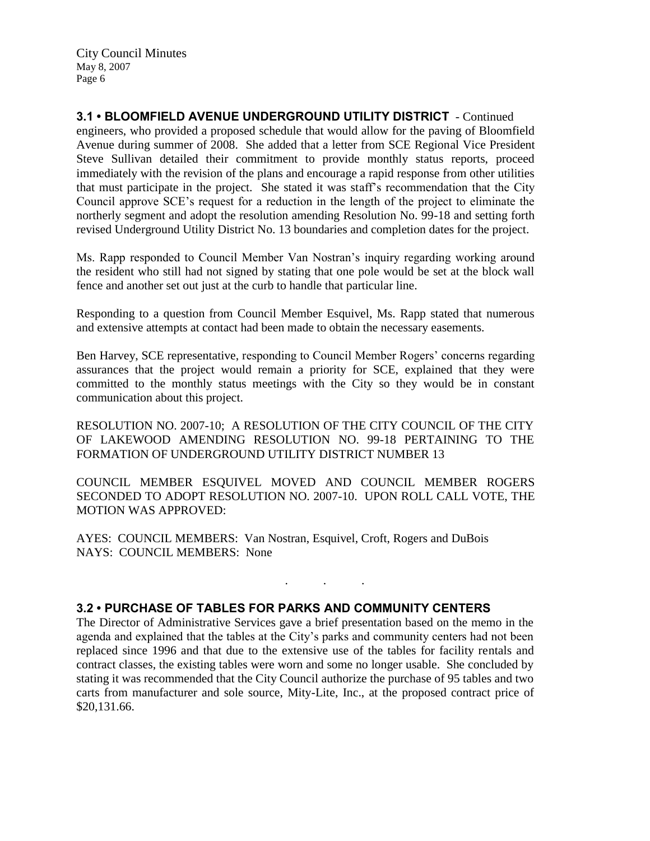**3.1 • BLOOMFIELD AVENUE UNDERGROUND UTILITY DISTRICT** - Continued engineers, who provided a proposed schedule that would allow for the paving of Bloomfield Avenue during summer of 2008. She added that a letter from SCE Regional Vice President Steve Sullivan detailed their commitment to provide monthly status reports, proceed immediately with the revision of the plans and encourage a rapid response from other utilities that must participate in the project. She stated it was staff's recommendation that the City Council approve SCE's request for a reduction in the length of the project to eliminate the northerly segment and adopt the resolution amending Resolution No. 99-18 and setting forth revised Underground Utility District No. 13 boundaries and completion dates for the project.

Ms. Rapp responded to Council Member Van Nostran's inquiry regarding working around the resident who still had not signed by stating that one pole would be set at the block wall fence and another set out just at the curb to handle that particular line.

Responding to a question from Council Member Esquivel, Ms. Rapp stated that numerous and extensive attempts at contact had been made to obtain the necessary easements.

Ben Harvey, SCE representative, responding to Council Member Rogers' concerns regarding assurances that the project would remain a priority for SCE, explained that they were committed to the monthly status meetings with the City so they would be in constant communication about this project.

RESOLUTION NO. 2007-10; A RESOLUTION OF THE CITY COUNCIL OF THE CITY OF LAKEWOOD AMENDING RESOLUTION NO. 99-18 PERTAINING TO THE FORMATION OF UNDERGROUND UTILITY DISTRICT NUMBER 13

COUNCIL MEMBER ESQUIVEL MOVED AND COUNCIL MEMBER ROGERS SECONDED TO ADOPT RESOLUTION NO. 2007-10. UPON ROLL CALL VOTE, THE MOTION WAS APPROVED:

. . .

AYES: COUNCIL MEMBERS: Van Nostran, Esquivel, Croft, Rogers and DuBois NAYS: COUNCIL MEMBERS: None

# **3.2 • PURCHASE OF TABLES FOR PARKS AND COMMUNITY CENTERS**

The Director of Administrative Services gave a brief presentation based on the memo in the agenda and explained that the tables at the City's parks and community centers had not been replaced since 1996 and that due to the extensive use of the tables for facility rentals and contract classes, the existing tables were worn and some no longer usable. She concluded by stating it was recommended that the City Council authorize the purchase of 95 tables and two carts from manufacturer and sole source, Mity-Lite, Inc., at the proposed contract price of \$20,131.66.